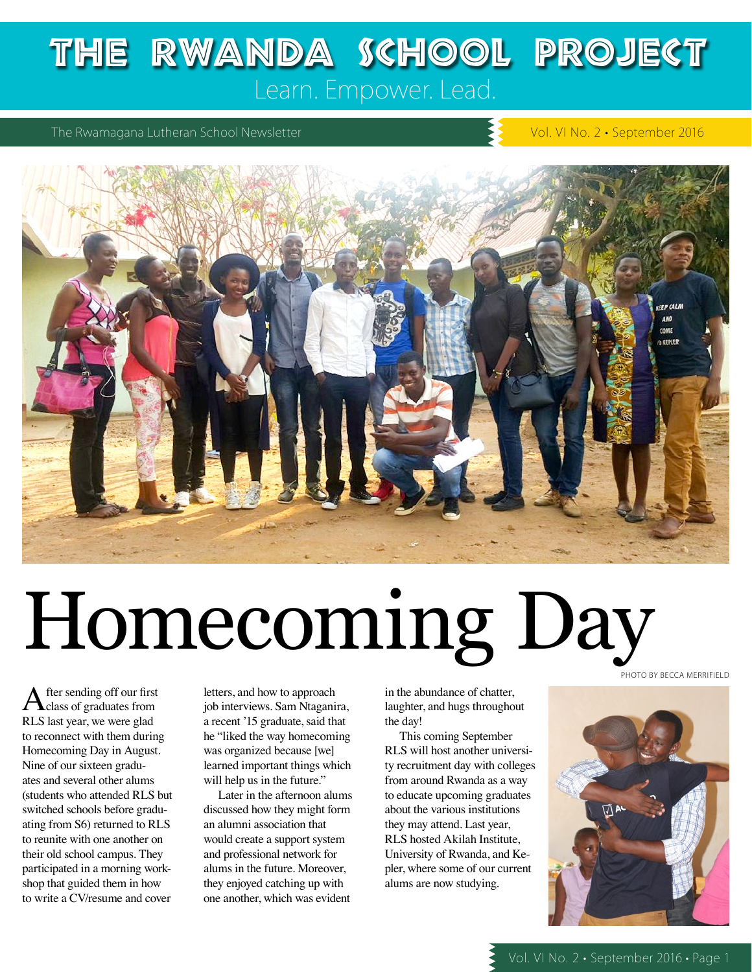### The Rwanda School Project Learn. Empower. Lead.

The Rwamagana Lutheran School Newsletter Vol. View Vol. VI No. 2 • September 2016



# Homecoming Day

After sending off our first<br>
class of graduates from RLS last year, we were glad to reconnect with them during Homecoming Day in August. Nine of our sixteen graduates and several other alums (students who attended RLS but switched schools before graduating from S6) returned to RLS to reunite with one another on their old school campus. They participated in a morning workshop that guided them in how to write a CV/resume and cover

letters, and how to approach job interviews. Sam Ntaganira, a recent '15 graduate, said that he "liked the way homecoming was organized because [we] learned important things which will help us in the future."

Later in the afternoon alums discussed how they might form an alumni association that would create a support system and professional network for alums in the future. Moreover, they enjoyed catching up with one another, which was evident

in the abundance of chatter, laughter, and hugs throughout the day!

This coming September RLS will host another university recruitment day with colleges from around Rwanda as a way to educate upcoming graduates about the various institutions they may attend. Last year, RLS hosted Akilah Institute, University of Rwanda, and Kepler, where some of our current alums are now studying.

**PHOTO BY BECCA MERRIFIELD** 



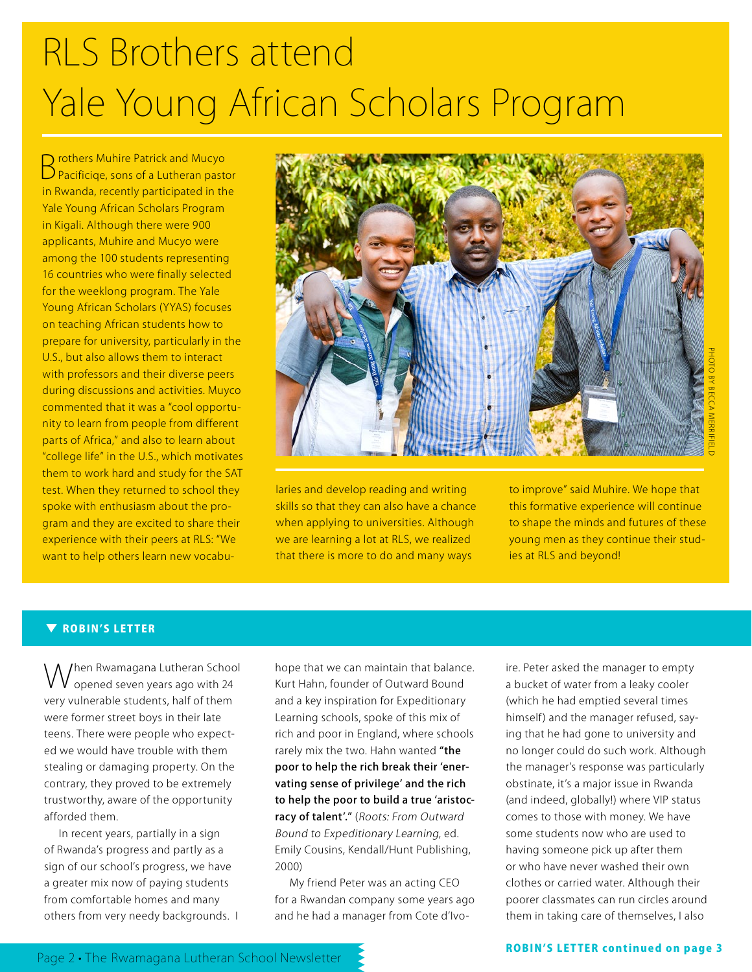### RLS Brothers attend Yale Young African Scholars Program

Brothers Muhire Patrick and Mucyo Pacificiqe, sons of a Lutheran pastor in Rwanda, recently participated in the Yale Young African Scholars Program in Kigali. Although there were 900 applicants, Muhire and Mucyo were among the 100 students representing 16 countries who were finally selected for the weeklong program. The Yale Young African Scholars (YYAS) focuses on teaching African students how to prepare for university, particularly in the U.S., but also allows them to interact with professors and their diverse peers during discussions and activities. Muyco commented that it was a "cool opportunity to learn from people from different parts of Africa," and also to learn about "college life" in the U.S., which motivates them to work hard and study for the SAT test. When they returned to school they spoke with enthusiasm about the program and they are excited to share their experience with their peers at RLS: "We want to help others learn new vocabu-



laries and develop reading and writing skills so that they can also have a chance when applying to universities. Although we are learning a lot at RLS, we realized that there is more to do and many ways

to improve" said Muhire. We hope that this formative experience will continue to shape the minds and futures of these young men as they continue their studies at RLS and beyond!

#### **V ROBIN'S LETTER**

When Rwamagana Lutheran School opened seven years ago with 24 very vulnerable students, half of them were former street boys in their late teens. There were people who expected we would have trouble with them stealing or damaging property. On the contrary, they proved to be extremely trustworthy, aware of the opportunity afforded them.

In recent years, partially in a sign of Rwanda's progress and partly as a sign of our school's progress, we have a greater mix now of paying students from comfortable homes and many others from very needy backgrounds. I

hope that we can maintain that balance. Kurt Hahn, founder of Outward Bound and a key inspiration for Expeditionary Learning schools, spoke of this mix of rich and poor in England, where schools rarely mix the two. Hahn wanted "the poor to help the rich break their 'enervating sense of privilege' and the rich to help the poor to build a true 'aristocracy of talent'." (Roots: From Outward Bound to Expeditionary Learning, ed. Emily Cousins, Kendall/Hunt Publishing, 2000)

My friend Peter was an acting CEO for a Rwandan company some years ago and he had a manager from Cote d'Ivoire. Peter asked the manager to empty a bucket of water from a leaky cooler (which he had emptied several times himself) and the manager refused, saying that he had gone to university and no longer could do such work. Although the manager's response was particularly obstinate, it's a major issue in Rwanda (and indeed, globally!) where VIP status comes to those with money. We have some students now who are used to having someone pick up after them or who have never washed their own clothes or carried water. Although their poorer classmates can run circles around them in taking care of themselves, I also To improve "said Muhire. We hope that<br>this formative experience will continue to shape the minist and futures of these<br>young men as they continue their studes<br>is at RLS and beyond!<br>is at RLS and beyond!<br>the had emption and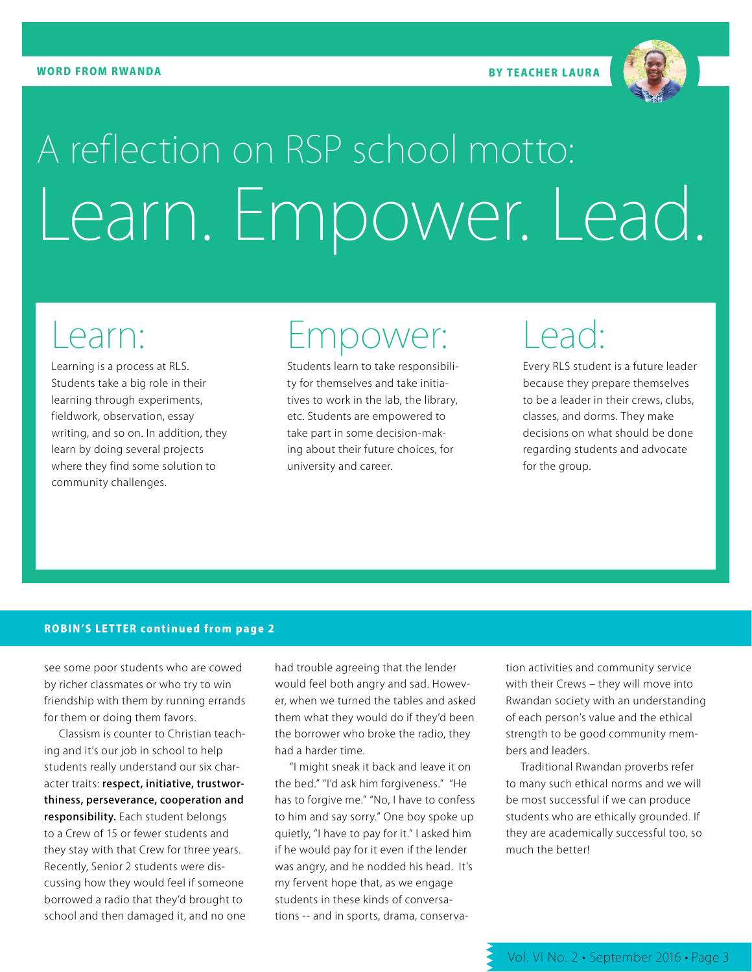

# A reflection on RSP school motto: Learn. Empower. Lead.

### Learn:

Learning is a process at RLS. Students take a big role in their learning through experiments, fieldwork, observation, essay writing, and so on. In addition, they learn by doing several projects where they find some solution to community challenges.

### Empower:

Students learn to take responsibility for themselves and take initiatives to work in the lab, the library, etc. Students are empowered to take part in some decision-making about their future choices, for university and career.

### Lead:

Every RLS student is a future leader because they prepare themselves to be a leader in their crews, clubs, classes, and dorms. They make decisions on what should be done regarding students and advocate for the group.

#### ROBIN'S LETTER continued from page 2

see some poor students who are cowed by richer classmates or who try to win friendship with them by running errands for them or doing them favors.

Classism is counter to Christian teaching and it's our job in school to help students really understand our six character traits: respect, initiative, trustworthiness, perseverance, cooperation and responsibility. Each student belongs to a Crew of 15 or fewer students and they stay with that Crew for three years. Recently, Senior 2 students were discussing how they would feel if someone borrowed a radio that they'd brought to school and then damaged it, and no one

had trouble agreeing that the lender would feel both angry and sad. However, when we turned the tables and asked them what they would do if they'd been the borrower who broke the radio, they had a harder time.

"I might sneak it back and leave it on the bed." "I'd ask him forgiveness." "He has to forgive me." "No, I have to confess to him and say sorry." One boy spoke up quietly, "I have to pay for it." I asked him if he would pay for it even if the lender was angry, and he nodded his head. It's my fervent hope that, as we engage students in these kinds of conversations -- and in sports, drama, conservation activities and community service with their Crews – they will move into Rwandan society with an understanding of each person's value and the ethical strength to be good community members and leaders.

Traditional Rwandan proverbs refer to many such ethical norms and we will be most successful if we can produce students who are ethically grounded. If they are academically successful too, so much the better!